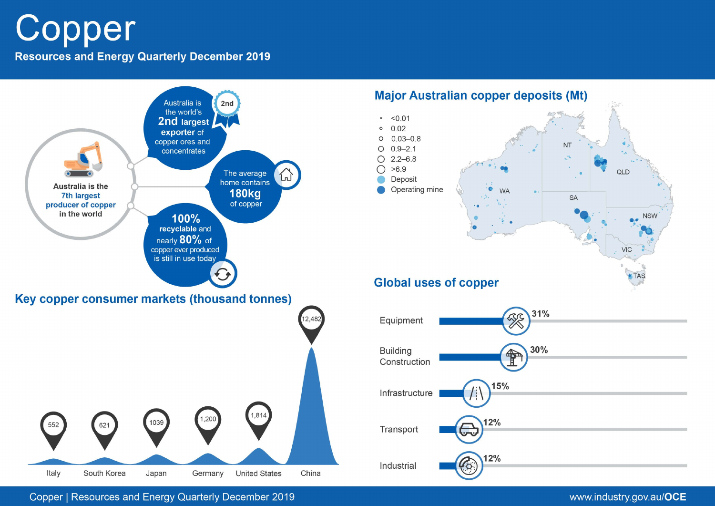# Copper

**Resources and Energy Quarterly December 2019** 



Copper | Resources and Energy Quarterly December 2019

# www.industry.gov.au/OCE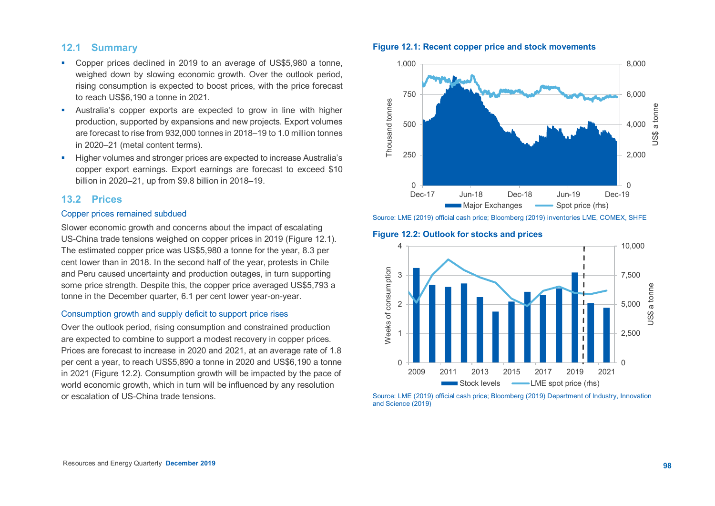# **12.1 Summary**

- Copper prices declined in 2019 to an average of US\$5,980 a tonne, weighed down by slowing economic growth. Over the outlook period, rising consumption is expected to boost prices, with the price forecast to reach US\$6,190 a tonne in 2021.
- Australia's copper exports are expected to grow in line with higher production, supported by expansions and new projects. Export volumes are forecast to rise from 932,000 tonnes in 2018–19 to 1.0 million tonnes in 2020–21 (metal content terms).
- Higher volumes and stronger prices are expected to increase Australia's copper export earnings. Export earnings are forecast to exceed \$10 billion in 2020–21, up from \$9.8 billion in 2018–19.

## **13.2 Prices**

#### Copper prices remained subdued

Slower economic growth and concerns about the impact of escalating US-China trade tensions weighed on copper prices in 2019 (Figure 12.1). The estimated copper price was US\$5,980 a tonne for the year, 8.3 per cent lower than in 2018. In the second half of the year, protests in Chile and Peru caused uncertainty and production outages, in turn supporting some price strength. Despite this, the copper price averaged US\$5,793 a tonne in the December quarter, 6.1 per cent lower year-on-year.

#### Consumption growth and supply deficit to support price rises

Over the outlook period, rising consumption and constrained production are expected to combine to support a modest recovery in copper prices. Prices are forecast to increase in 2020 and 2021, at an average rate of 1.8 per cent a year, to reach US\$5,890 a tonne in 2020 and US\$6,190 a tonne in 2021 (Figure 12.2). Consumption growth will be impacted by the pace of world economic growth, which in turn will be influenced by any resolution or escalation of US-China trade tensions.

## **Figure 12.1: Recent copper price and stock movements**



Source: LME (2019) official cash price; Bloomberg (2019) inventories LME, COMEX, SHFE

#### **Figure 12.2: Outlook for stocks and prices**



Source: LME (2019) official cash price; Bloomberg (2019) Department of Industry, Innovation and Science (2019)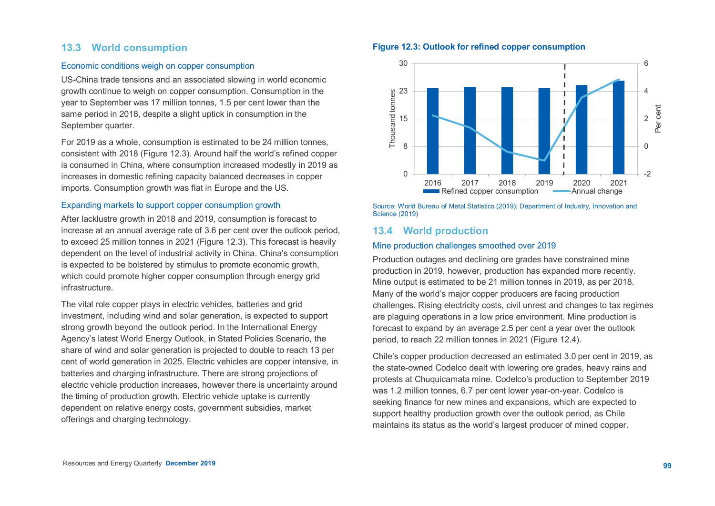# **13.3 World consumption**

## Economic conditions weigh on copper consumption

US-China trade tensions and an associated slowing in world economic growth continue to weigh on copper consumption. Consumption in the year to September was 17 million tonnes, 1.5 per cent lower than the same period in 2018, despite a slight uptick in consumption in the September quarter.

For 2019 as a whole, consumption is estimated to be 24 million tonnes, consistent with 2018 (Figure 12.3). Around half the world's refined copper is consumed in China, where consumption increased modestly in 2019 as increases in domestic refining capacity balanced decreases in copper imports. Consumption growth was flat in Europe and the US.

#### Expanding markets to support copper consumption growth

After lacklustre growth in 2018 and 2019, consumption is forecast to increase at an annual average rate of 3.6 per cent over the outlook period, to exceed 25 million tonnes in 2021 (Figure 12.3). This forecast is heavily dependent on the level of industrial activity in China. China's consumption is expected to be bolstered by stimulus to promote economic growth, which could promote higher copper consumption through energy grid infrastructure.

The vital role copper plays in electric vehicles, batteries and grid investment, including wind and solar generation, is expected to support strong growth beyond the outlook period. In the International Energy Agency's latest World Energy Outlook, in Stated Policies Scenario, the share of wind and solar generation is projected to double to reach 13 per cent of world generation in 2025. Electric vehicles are copper intensive, in batteries and charging infrastructure. There are strong projections of electric vehicle production increases, however there is uncertainty around the timing of production growth. Electric vehicle uptake is currently dependent on relative energy costs, government subsidies, market offerings and charging technology.

## **Figure 12.3: Outlook for refined copper consumption**



Source: World Bureau of Metal Statistics (2019); Department of Industry, Innovation and Science (2019)

## **13.4 World production**

#### Mine production challenges smoothed over 2019

Production outages and declining ore grades have constrained mine production in 2019, however, production has expanded more recently. Mine output is estimated to be 21 million tonnes in 2019, as per 2018. Many of the world's major copper producers are facing production challenges. Rising electricity costs, civil unrest and changes to tax regimes are plaguing operations in a low price environment. Mine production is forecast to expand by an average 2.5 per cent a year over the outlook period, to reach 22 million tonnes in 2021 (Figure 12.4).

Chile's copper production decreased an estimated 3.0 per cent in 2019, as the state-owned Codelco dealt with lowering ore grades, heavy rains and protests at Chuquicamata mine. Codelco's production to September 2019 was 1.2 million tonnes, 6.7 per cent lower year-on-year. Codelco is seeking finance for new mines and expansions, which are expected to support healthy production growth over the outlook period, as Chile maintains its status as the world's largest producer of mined copper.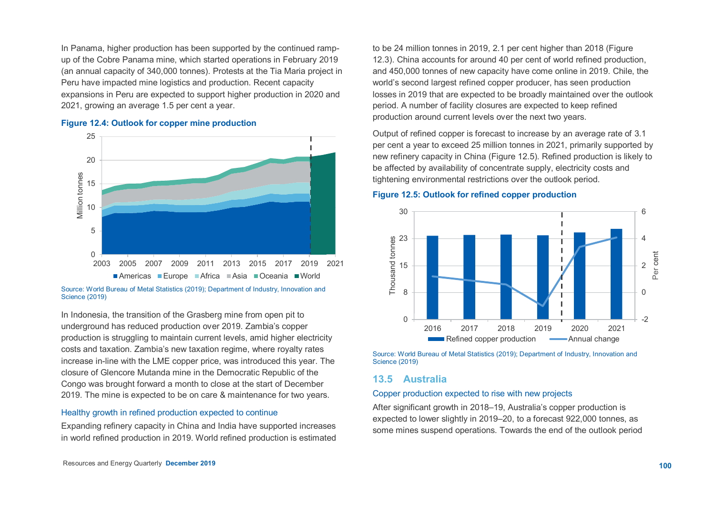In Panama, higher production has been supported by the continued rampup of the Cobre Panama mine, which started operations in February 2019 (an annual capacity of 340,000 tonnes). Protests at the Tia Maria project in Peru have impacted mine logistics and production. Recent capacity expansions in Peru are expected to support higher production in 2020 and 2021, growing an average 1.5 per cent a year.

#### **Figure 12.4: Outlook for copper mine production**



Source: World Bureau of Metal Statistics (2019); Department of Industry, Innovation and Science (2019)

In Indonesia, the transition of the Grasberg mine from open pit to underground has reduced production over 2019. Zambia's copper production is struggling to maintain current levels, amid higher electricity costs and taxation. Zambia's new taxation regime, where royalty rates increase in-line with the LME copper price, was introduced this year. The closure of Glencore Mutanda mine in the Democratic Republic of the Congo was brought forward a month to close at the start of December 2019. The mine is expected to be on care & maintenance for two years.

#### Healthy growth in refined production expected to continue

Expanding refinery capacity in China and India have supported increases in world refined production in 2019. World refined production is estimated to be 24 million tonnes in 2019, 2.1 per cent higher than 2018 (Figure 12.3). China accounts for around 40 per cent of world refined production, and 450,000 tonnes of new capacity have come online in 2019. Chile, the world's second largest refined copper producer, has seen production losses in 2019 that are expected to be broadly maintained over the outlook period. A number of facility closures are expected to keep refined production around current levels over the next two years.

Output of refined copper is forecast to increase by an average rate of 3.1 per cent a year to exceed 25 million tonnes in 2021, primarily supported by new refinery capacity in China (Figure 12.5). Refined production is likely to be affected by availability of concentrate supply, electricity costs and tightening environmental restrictions over the outlook period.

#### **Figure 12.5: Outlook for refined copper production**



Source: World Bureau of Metal Statistics (2019); Department of Industry, Innovation and Science (2019)

## **13.5 Australia**

#### Copper production expected to rise with new projects

After significant growth in 2018–19, Australia's copper production is expected to lower slightly in 2019–20, to a forecast 922,000 tonnes, as some mines suspend operations. Towards the end of the outlook period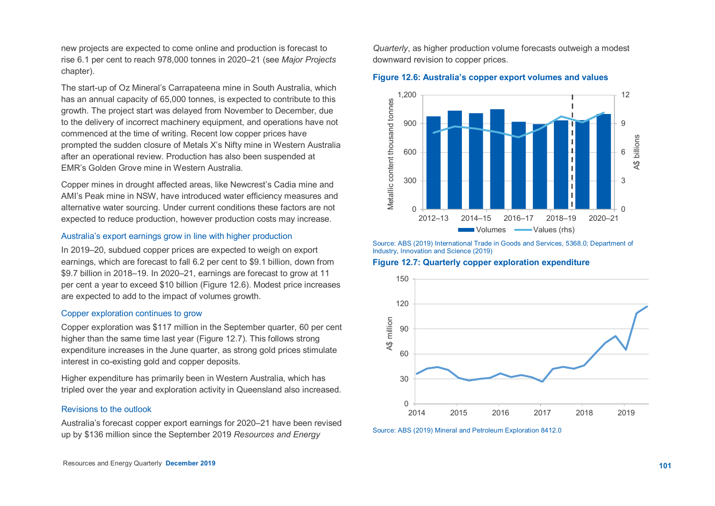new projects are expected to come online and production is forecast to rise 6.1 per cent to reach 978,000 tonnes in 2020–21 (see *Major Projects*  chapter).

The start-up of Oz Mineral's Carrapateena mine in South Australia, which has an annual capacity of 65,000 tonnes, is expected to contribute to this growth. The project start was delayed from November to December, due to the delivery of incorrect machinery equipment, and operations have not commenced at the time of writing. Recent low copper prices have prompted the sudden closure of Metals X's Nifty mine in Western Australia after an operational review. Production has also been suspended at EMR's Golden Grove mine in Western Australia.

Copper mines in drought affected areas, like Newcrest's Cadia mine and AMI's Peak mine in NSW, have introduced water efficiency measures and alternative water sourcing. Under current conditions these factors are not expected to reduce production, however production costs may increase.

#### Australia's export earnings grow in line with higher production

In 2019–20, subdued copper prices are expected to weigh on export earnings, which are forecast to fall 6.2 per cent to \$9.1 billion, down from \$9.7 billion in 2018–19. In 2020–21, earnings are forecast to grow at 11 per cent a year to exceed \$10 billion (Figure 12.6). Modest price increases are expected to add to the impact of volumes growth.

#### Copper exploration continues to grow

Copper exploration was \$117 million in the September quarter, 60 per cent higher than the same time last year (Figure 12.7). This follows strong expenditure increases in the June quarter, as strong gold prices stimulate interest in co-existing gold and copper deposits.

Higher expenditure has primarily been in Western Australia, which has tripled over the year and exploration activity in Queensland also increased.

#### Revisions to the outlook

Australia's forecast copper export earnings for 2020–21 have been revised up by \$136 million since the September 2019 *Resources and Energy*

*Quarterly*, as higher production volume forecasts outweigh a modest downward revision to copper prices.

#### **Figure 12.6: Australia's copper export volumes and values**



Source: ABS (2019) International Trade in Goods and Services, 5368.0; Department of Industry, Innovation and Science (2019)

**Figure 12.7: Quarterly copper exploration expenditure**



Source: ABS (2019) Mineral and Petroleum Exploration 8412.0